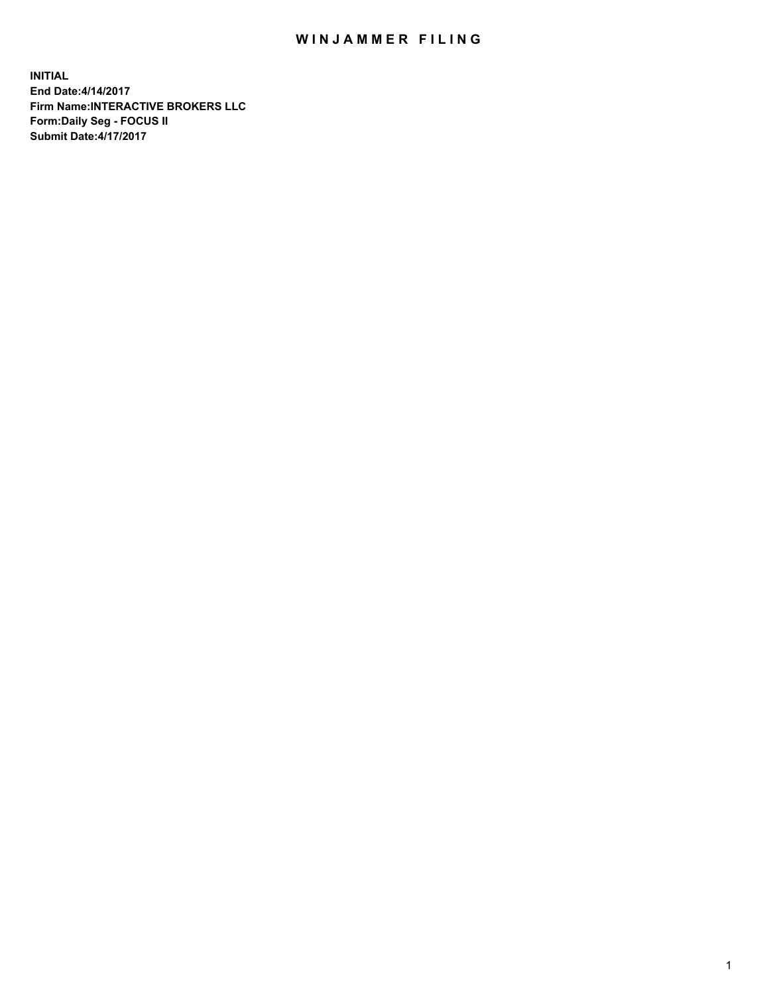## WIN JAMMER FILING

**INITIAL End Date:4/14/2017 Firm Name:INTERACTIVE BROKERS LLC Form:Daily Seg - FOCUS II Submit Date:4/17/2017**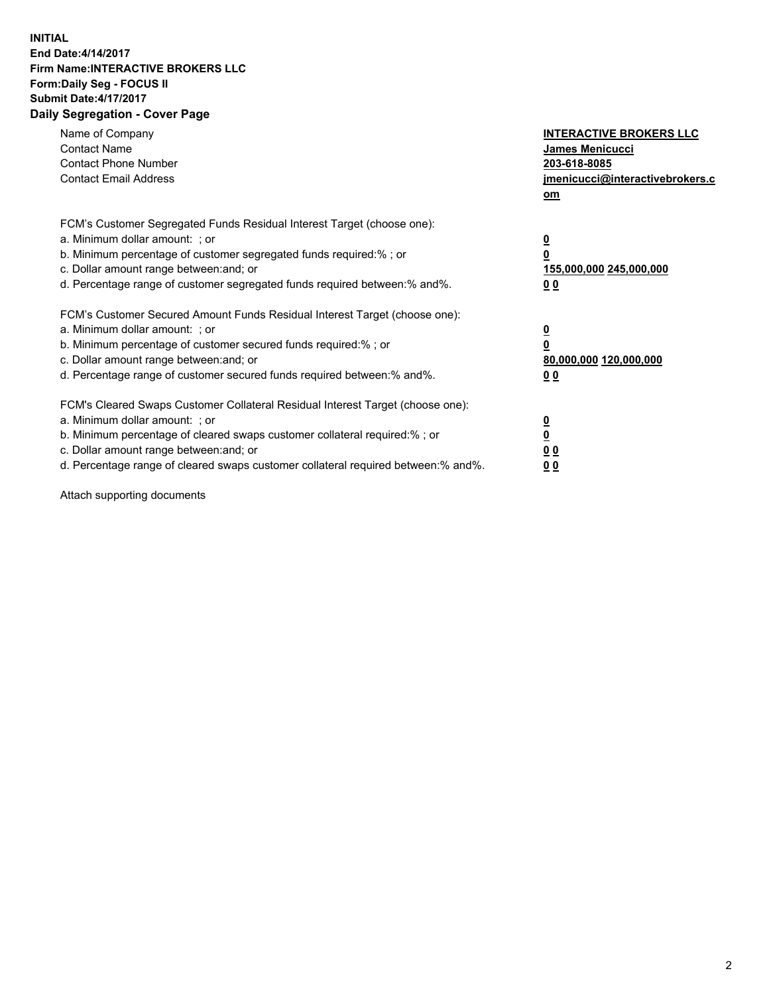## **INITIAL End Date:4/14/2017 Firm Name:INTERACTIVE BROKERS LLC Form:Daily Seg - FOCUS II Submit Date:4/17/2017 Daily Segregation - Cover Page**

| Name of Company<br><b>Contact Name</b><br><b>Contact Phone Number</b><br><b>Contact Email Address</b>                                                                                                                                                                                                                          | <b>INTERACTIVE BROKERS LLC</b><br><b>James Menicucci</b><br>203-618-8085<br>jmenicucci@interactivebrokers.c<br>om |
|--------------------------------------------------------------------------------------------------------------------------------------------------------------------------------------------------------------------------------------------------------------------------------------------------------------------------------|-------------------------------------------------------------------------------------------------------------------|
| FCM's Customer Segregated Funds Residual Interest Target (choose one):<br>a. Minimum dollar amount: ; or<br>b. Minimum percentage of customer segregated funds required:%; or<br>c. Dollar amount range between: and; or<br>d. Percentage range of customer segregated funds required between:% and%.                          | $\overline{\mathbf{0}}$<br>0<br>155,000,000 245,000,000<br>0 <sub>0</sub>                                         |
| FCM's Customer Secured Amount Funds Residual Interest Target (choose one):<br>a. Minimum dollar amount: ; or<br>b. Minimum percentage of customer secured funds required:%; or<br>c. Dollar amount range between: and; or<br>d. Percentage range of customer secured funds required between: % and %.                          | $\overline{\mathbf{0}}$<br>0<br>80,000,000 120,000,000<br>0 <sub>0</sub>                                          |
| FCM's Cleared Swaps Customer Collateral Residual Interest Target (choose one):<br>a. Minimum dollar amount: ; or<br>b. Minimum percentage of cleared swaps customer collateral required:% ; or<br>c. Dollar amount range between: and; or<br>d. Percentage range of cleared swaps customer collateral required between:% and%. | $\overline{\mathbf{0}}$<br>$\overline{\mathbf{0}}$<br>0 <sub>0</sub><br><u>00</u>                                 |

Attach supporting documents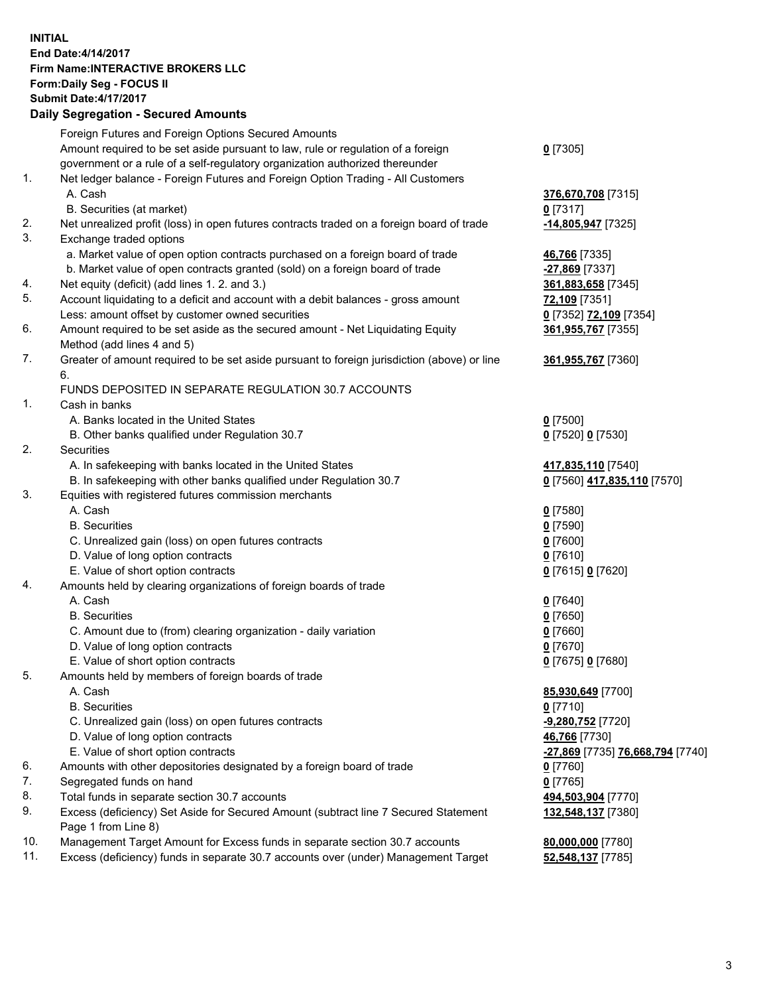## **INITIAL End Date:4/14/2017 Firm Name:INTERACTIVE BROKERS LLC Form:Daily Seg - FOCUS II Submit Date:4/17/2017 Daily Segregation - Secured Amounts**

|     | <b>Pany Ovgrogation Coodrog</b> / 11110an1                                                  |                                  |
|-----|---------------------------------------------------------------------------------------------|----------------------------------|
|     | Foreign Futures and Foreign Options Secured Amounts                                         |                                  |
|     | Amount required to be set aside pursuant to law, rule or regulation of a foreign            | $0$ [7305]                       |
|     | government or a rule of a self-regulatory organization authorized thereunder                |                                  |
| 1.  | Net ledger balance - Foreign Futures and Foreign Option Trading - All Customers             |                                  |
|     | A. Cash                                                                                     | 376,670,708 [7315]               |
|     | B. Securities (at market)                                                                   | $0$ [7317]                       |
| 2.  | Net unrealized profit (loss) in open futures contracts traded on a foreign board of trade   | -14,805,947 [7325]               |
| 3.  | Exchange traded options                                                                     |                                  |
|     | a. Market value of open option contracts purchased on a foreign board of trade              | 46,766 [7335]                    |
|     | b. Market value of open contracts granted (sold) on a foreign board of trade                | -27,869 [7337]                   |
| 4.  | Net equity (deficit) (add lines 1.2. and 3.)                                                | 361,883,658 [7345]               |
| 5.  | Account liquidating to a deficit and account with a debit balances - gross amount           | 72,109 [7351]                    |
|     | Less: amount offset by customer owned securities                                            | 0 [7352] 72,109 [7354]           |
| 6.  | Amount required to be set aside as the secured amount - Net Liquidating Equity              | 361,955,767 [7355]               |
|     | Method (add lines 4 and 5)                                                                  |                                  |
| 7.  | Greater of amount required to be set aside pursuant to foreign jurisdiction (above) or line | 361,955,767 [7360]               |
|     | 6.                                                                                          |                                  |
|     | FUNDS DEPOSITED IN SEPARATE REGULATION 30.7 ACCOUNTS                                        |                                  |
| 1.  | Cash in banks                                                                               |                                  |
|     | A. Banks located in the United States                                                       | $0$ [7500]                       |
|     | B. Other banks qualified under Regulation 30.7                                              | 0 [7520] 0 [7530]                |
| 2.  | Securities                                                                                  |                                  |
|     | A. In safekeeping with banks located in the United States                                   | 417,835,110 [7540]               |
|     | B. In safekeeping with other banks qualified under Regulation 30.7                          | 0 [7560] 417,835,110 [7570]      |
| 3.  | Equities with registered futures commission merchants                                       |                                  |
|     | A. Cash                                                                                     | $0$ [7580]                       |
|     | <b>B.</b> Securities                                                                        | $0$ [7590]                       |
|     | C. Unrealized gain (loss) on open futures contracts                                         | $0$ [7600]                       |
|     | D. Value of long option contracts                                                           | $0$ [7610]                       |
|     | E. Value of short option contracts                                                          | 0 [7615] 0 [7620]                |
| 4.  | Amounts held by clearing organizations of foreign boards of trade                           |                                  |
|     | A. Cash                                                                                     | $0$ [7640]                       |
|     | <b>B.</b> Securities                                                                        | $0$ [7650]                       |
|     | C. Amount due to (from) clearing organization - daily variation                             | $0$ [7660]                       |
|     | D. Value of long option contracts                                                           | $0$ [7670]                       |
|     | E. Value of short option contracts                                                          | 0 [7675] 0 [7680]                |
| 5.  | Amounts held by members of foreign boards of trade                                          |                                  |
|     | A. Cash                                                                                     | 85,930,649 [7700]                |
|     | <b>B.</b> Securities                                                                        | $0$ [7710]                       |
|     | C. Unrealized gain (loss) on open futures contracts                                         | -9,280,752 [7720]                |
|     | D. Value of long option contracts                                                           | 46,766 [7730]                    |
|     | E. Value of short option contracts                                                          | -27,869 [7735] 76,668,794 [7740] |
| 6.  | Amounts with other depositories designated by a foreign board of trade                      | $0$ [7760]                       |
| 7.  | Segregated funds on hand                                                                    | $0$ [7765]                       |
| 8.  | Total funds in separate section 30.7 accounts                                               | 494,503,904 [7770]               |
| 9.  | Excess (deficiency) Set Aside for Secured Amount (subtract line 7 Secured Statement         | 132,548,137 [7380]               |
|     | Page 1 from Line 8)                                                                         |                                  |
| 10. | Management Target Amount for Excess funds in separate section 30.7 accounts                 | 80,000,000 [7780]                |
| 11. | Excess (deficiency) funds in separate 30.7 accounts over (under) Management Target          | 52,548,137 [7785]                |
|     |                                                                                             |                                  |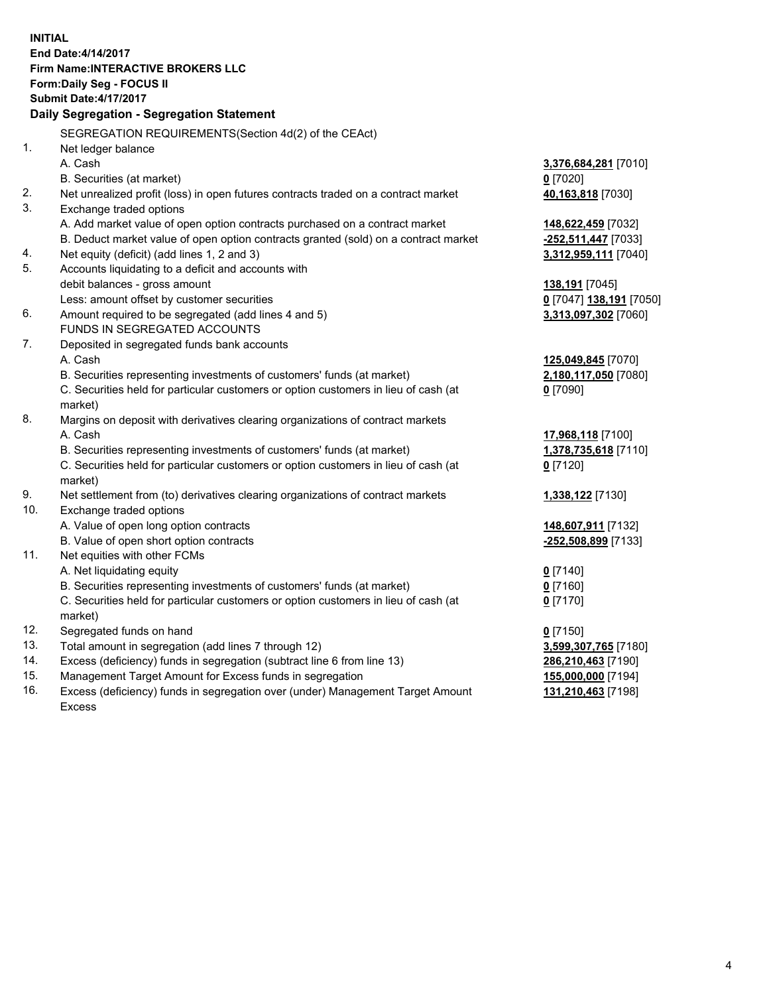**INITIAL End Date:4/14/2017 Firm Name:INTERACTIVE BROKERS LLC Form:Daily Seg - FOCUS II Submit Date:4/17/2017 Daily Segregation - Segregation Statement** SEGREGATION REQUIREMENTS(Section 4d(2) of the CEAct) 1. Net ledger balance A. Cash **3,376,684,281** [7010] B. Securities (at market) **0** [7020] 2. Net unrealized profit (loss) in open futures contracts traded on a contract market **40,163,818** [7030] 3. Exchange traded options A. Add market value of open option contracts purchased on a contract market **148,622,459** [7032] B. Deduct market value of open option contracts granted (sold) on a contract market **-252,511,447** [7033] 4. Net equity (deficit) (add lines 1, 2 and 3) **3,312,959,111** [7040] 5. Accounts liquidating to a deficit and accounts with debit balances - gross amount **138,191** [7045] Less: amount offset by customer securities **0** [7047] **138,191** [7050] 6. Amount required to be segregated (add lines 4 and 5) **3,313,097,302** [7060] FUNDS IN SEGREGATED ACCOUNTS 7. Deposited in segregated funds bank accounts A. Cash **125,049,845** [7070] B. Securities representing investments of customers' funds (at market) **2,180,117,050** [7080] C. Securities held for particular customers or option customers in lieu of cash (at market) **0** [7090] 8. Margins on deposit with derivatives clearing organizations of contract markets A. Cash **17,968,118** [7100] B. Securities representing investments of customers' funds (at market) **1,378,735,618** [7110] C. Securities held for particular customers or option customers in lieu of cash (at market) **0** [7120] 9. Net settlement from (to) derivatives clearing organizations of contract markets **1,338,122** [7130] 10. Exchange traded options A. Value of open long option contracts **148,607,911** [7132] B. Value of open short option contracts **-252,508,899** [7133] 11. Net equities with other FCMs A. Net liquidating equity **0** [7140] B. Securities representing investments of customers' funds (at market) **0** [7160] C. Securities held for particular customers or option customers in lieu of cash (at market) **0** [7170] 12. Segregated funds on hand **0** [7150] 13. Total amount in segregation (add lines 7 through 12) **3,599,307,765** [7180] 14. Excess (deficiency) funds in segregation (subtract line 6 from line 13) **286,210,463** [7190] 15. Management Target Amount for Excess funds in segregation **155,000,000** [7194]

16. Excess (deficiency) funds in segregation over (under) Management Target Amount Excess

**131,210,463** [7198]